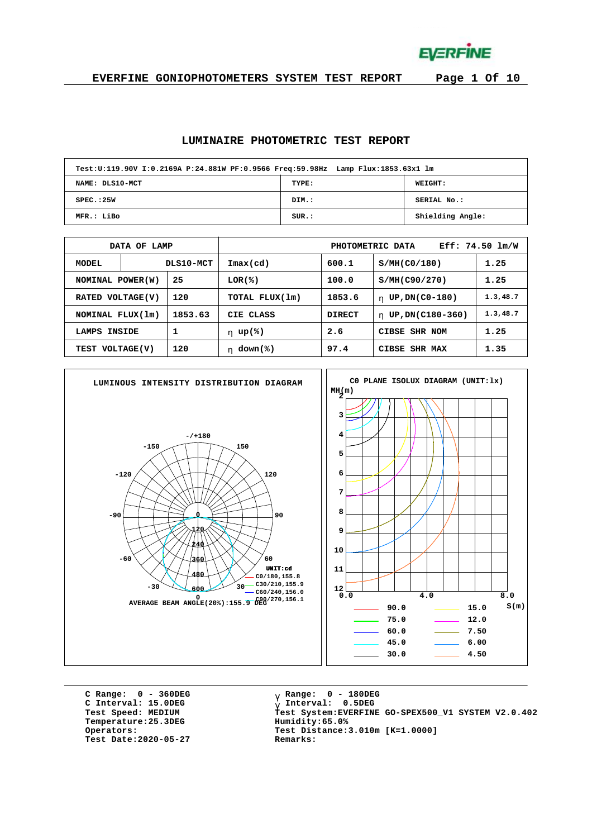**EVERFINE** 

#### **EVERFINE GONIOPHOTOMETERS SYSTEM TEST REPORT Page 1 Of 10**

#### **LUMINAIRE PHOTOMETRIC TEST REPORT**

| Test:U:119.90V I:0.2169A P:24.881W PF:0.9566 Freq:59.98Hz Lamp Flux:1853.63x1 lm |       |                  |
|----------------------------------------------------------------------------------|-------|------------------|
| NAME: DLS10-MCT                                                                  | TYPE: | <b>WEIGHT:</b>   |
| SPEC.:25W                                                                        | DIM.: | SERIAL No.:      |
| MFR.: LiBo                                                                       | SUR.: | Shielding Angle: |

|                            | OF LAMP<br><b>DATA</b> |           | $Eff: 74.50 \; lm/W$<br>PHOTOMETRIC DATA |               |                        |           |  |  |  |  |  |
|----------------------------|------------------------|-----------|------------------------------------------|---------------|------------------------|-----------|--|--|--|--|--|
| <b>MODEL</b>               |                        | DLS10-MCT | $\texttt{Imax}(\text{cd})$               | 600.1         | S/MH(C0/180)           | 1.25      |  |  |  |  |  |
| 25<br>NOMINAL POWER(W)     |                        |           | $LOR(\mathcal{E})$                       | 100.0         | S/MH(C90/270)          | 1.25      |  |  |  |  |  |
| VOLTAGE(V)<br><b>RATED</b> |                        | 120       | TOTAL FLUX(1m)                           | 1853.6        | UP, DN(C0-180)<br>h.   | 1.3, 48.7 |  |  |  |  |  |
| NOMINAL FLUX(1m)           |                        | 1853.63   | CIE CLASS                                | <b>DIRECT</b> | UP, DN(C180-360)<br>h. | 1.3, 48.7 |  |  |  |  |  |
| INSIDE<br>LAMPS            |                        |           | h $up$ (%)                               | 2.6           | <b>CIBSE SHR NOM</b>   | 1.25      |  |  |  |  |  |
| 120<br>TEST VOLTAGE(V)     |                        |           | $down$ (%)<br>h.                         | 97.4          | CIBSE SHR MAX          | 1.35      |  |  |  |  |  |



**C Range: 0 - 360DEG C Interval: 15.0DEG**  $Temperature:25.3DEG$ **Test Date:2020-05-27 Remarks:**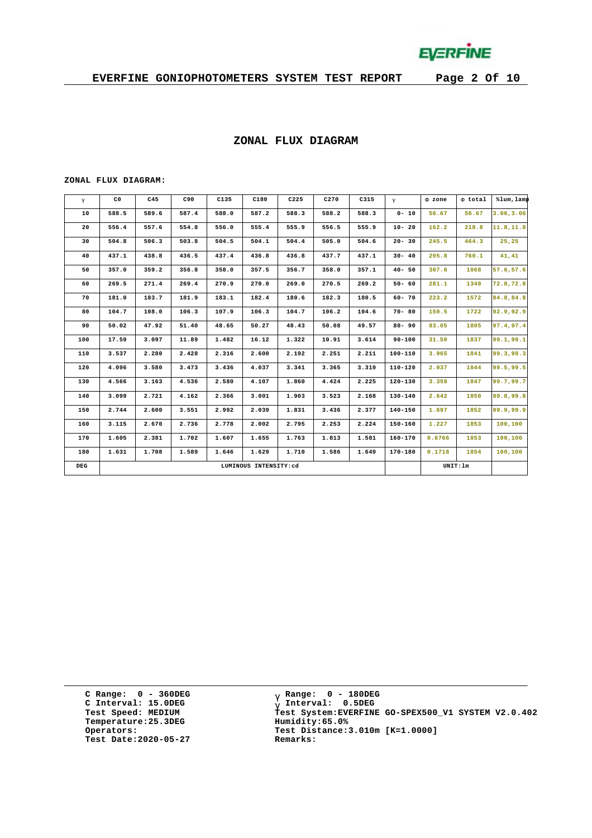

#### **ZONAL FLUX DIAGRAM**

#### **ZONAL FLUX DIAGRAM:**

| g   | C <sub>0</sub> | C45   | C90   | C135  | C180                  | C225  | C270  | C315  | $\mathsf{q}$ | F zone | F total  | %lum, lamp |
|-----|----------------|-------|-------|-------|-----------------------|-------|-------|-------|--------------|--------|----------|------------|
| 10  | 588.5          | 589.6 | 587.4 | 588.0 | 587.2                 | 588.3 | 588.2 | 588.3 | $0 - 10$     | 56.67  | 56.67    | 3.06, 3.06 |
| 20  | 556.4          | 557.6 | 554.8 | 556.0 | 555.4                 | 555.9 | 556.5 | 555.9 | $10 - 20$    | 162.2  | 218.8    | 11.8, 11.8 |
| 30  | 504.8          | 506.3 | 503.8 | 504.5 | 504.1                 | 504.4 | 505.0 | 504.6 | $20 - 30$    | 245.5  | 464.3    | 25,25      |
| 40  | 437.1          | 438.8 | 436.5 | 437.4 | 436.8                 | 436.8 | 437.7 | 437.1 | $30 - 40$    | 295.8  | 760.1    | 41, 41     |
| 50  | 357.0          | 359.2 | 356.8 | 358.0 | 357.5                 | 356.7 | 358.0 | 357.1 | $40 - 50$    | 307.6  | 1068     | 57.6,57.6  |
| 60  | 269.5          | 271.4 | 269.4 | 270.9 | 270.0                 | 269.0 | 270.5 | 269.2 | $50 - 60$    | 281.1  | 1349     | 72.8,72.8  |
| 70  | 181.0          | 183.7 | 181.9 | 183.1 | 182.4                 | 180.6 | 182.3 | 180.5 | $60 - 70$    | 223.2  | 1572     | 84.8,84.8  |
| 80  | 104.7          | 108.0 | 106.3 | 107.9 | 106.3                 | 104.7 | 106.2 | 104.6 | $70 - 80$    | 150.5  | 1722     | 92.9,92.9  |
| 90  | 50.02          | 47.92 | 51.40 | 48.65 | 50.27                 | 48.43 | 50.08 | 49.57 | $80 - 90$    | 83.05  | 1805     | 97.4,97.4  |
| 100 | 17.59          | 3.097 | 11.89 | 1.482 | 16.12                 | 1.322 | 10.91 | 3.614 | $90 - 100$   | 31.50  | 1837     | 99.1,99.1  |
| 110 | 3.537          | 2.280 | 2.428 | 2.316 | 2.600                 | 2.192 | 2.251 | 2.211 | 100-110      | 3.965  | 1841     | 99.3,99.3  |
| 120 | 4.096          | 3.580 | 3.473 | 3.436 | 4.037                 | 3.341 | 3.365 | 3.319 | $110 - 120$  | 2.937  | 1844     | 99.5,99.5  |
| 130 | 4.566          | 3.163 | 4.536 | 2.580 | 4.107                 | 1,860 | 4.424 | 2,225 | $120 - 130$  | 3.359  | 1847     | 99.7,99.7  |
| 140 | 3.099          | 2.721 | 4.162 | 2.366 | 3.001                 | 1.903 | 3.523 | 2.168 | $130 - 140$  | 2.642  | 1850     | 99.8,99.8  |
| 150 | 2.744          | 2.600 | 3.551 | 2.992 | 2.039                 | 1.831 | 3.436 | 2.377 | $140 - 150$  | 1.697  | 1852     | 99.9,99.9  |
| 160 | 3.115          | 2.670 | 2.736 | 2.778 | 2.002                 | 2.795 | 2.253 | 2.224 | $150 - 160$  | 1.227  | 1853     | 100,100    |
| 170 | 1.605          | 2.381 | 1.702 | 1.607 | 1.655                 | 1.763 | 1.813 | 1.581 | $160 - 170$  | 0.6766 | 1853     | 100,100    |
| 180 | 1.631          | 1.708 | 1.589 | 1.646 | 1.629                 | 1.710 | 1.586 | 1.649 | $170 - 180$  | 0.1718 | 1854     | 100,100    |
| DEG |                |       |       |       | LUMINOUS INTENSITY:cd |       |       |       |              |        | UNIT: 1m |            |

**C Range: 0 - 360DEG C Interval: 15.0DEG Temperature:25.3DEG Humidity:65.0% Test Date:2020-05-27 Remarks:**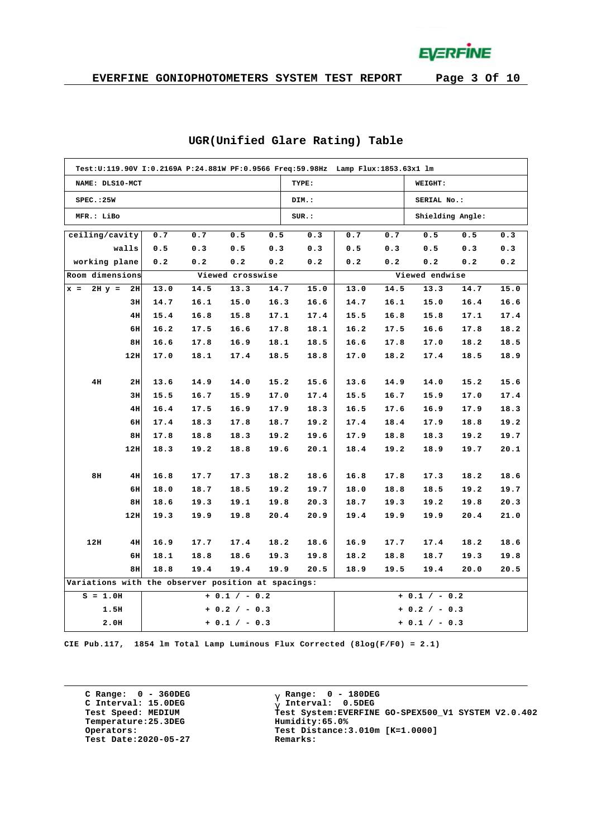**EVERFINE** 

| Test:U:119.90V I:0.2169A P:24.881W PF:0.9566 Freq:59.98Hz Lamp Flux:1853.63x1 lm |     |      |      |                  |      |       |      |             |                  |      |      |  |  |  |
|----------------------------------------------------------------------------------|-----|------|------|------------------|------|-------|------|-------------|------------------|------|------|--|--|--|
| NAME: DLS10-MCT                                                                  |     |      |      |                  |      | TYPE: |      |             | WEIGHT:          |      |      |  |  |  |
| SPEC.:25W                                                                        |     |      |      |                  |      | DIM.: |      | SERIAL No.: |                  |      |      |  |  |  |
| MFR.: LiBo                                                                       |     |      |      |                  |      | SUR.: |      |             | Shielding Angle: |      |      |  |  |  |
| ceiling/cavity                                                                   |     | 0.7  | 0.7  | 0.5              | 0.5  | 0.3   | 0.7  | 0.7         | 0.5              | 0.5  | 0.3  |  |  |  |
| walls                                                                            |     | 0.5  | 0.3  | 0.5              | 0.3  | 0.3   | 0.5  | 0.3         | 0.5              | 0.3  | 0.3  |  |  |  |
| working plane                                                                    |     | 0.2  | 0.2  | 0.2              | 0.2  | 0.2   | 0.2  | 0.2         | 0.2              | 0.2  |      |  |  |  |
| Room dimensions                                                                  |     |      |      | Viewed crosswise |      |       |      |             | Viewed endwise   |      |      |  |  |  |
| $2H y =$<br>$x =$                                                                | 2H  | 13.0 | 14.5 | 13.3             | 14.7 | 15.0  | 13.0 | 14.5        | 13.3             | 14.7 | 15.0 |  |  |  |
|                                                                                  | 3H  | 14.7 | 16.1 | 15.0             | 16.3 | 16.6  | 14.7 | 16.1        | 15.0             | 16.4 | 16.6 |  |  |  |
|                                                                                  | 4H  | 15.4 | 16.8 | 15.8             | 17.1 | 17.4  | 15.5 | 16.8        | 15.8             | 17.1 | 17.4 |  |  |  |
|                                                                                  | 6H  | 16.2 | 17.5 | 16.6             | 17.8 | 18.1  | 16.2 | 17.5        | 16.6             | 17.8 | 18.2 |  |  |  |
|                                                                                  | 8H  | 16.6 | 17.8 | 16.9             | 18.1 | 18.5  | 16.6 | 17.8        | 17.0             | 18.2 | 18.5 |  |  |  |
|                                                                                  | 12H | 17.0 | 18.1 | 17.4             | 18.5 | 18.8  | 17.0 | 18.2        | 17.4             | 18.5 | 18.9 |  |  |  |
|                                                                                  |     |      |      |                  |      |       |      |             |                  |      |      |  |  |  |
| 4H                                                                               | 2H  | 13.6 | 14.9 | 14.0             | 15.2 | 15.6  | 13.6 | 14.9        | 14.0             | 15.2 | 15.6 |  |  |  |
|                                                                                  | 3H  | 15.5 | 16.7 | 15.9             | 17.0 | 17.4  | 15.5 | 16.7        | 15.9             | 17.0 | 17.4 |  |  |  |
|                                                                                  | 4H  | 16.4 | 17.5 | 16.9             | 17.9 | 18.3  | 16.5 | 17.6        | 16.9             | 17.9 | 18.3 |  |  |  |
|                                                                                  | 6H  | 17.4 | 18.3 | 17.8             | 18.7 | 19.2  | 17.4 | 18.4        | 17.9             | 18.8 | 19.2 |  |  |  |
|                                                                                  | 8H  | 17.8 | 18.8 | 18.3             | 19.2 | 19.6  | 17.9 | 18.8        | 18.3             | 19.2 | 19.7 |  |  |  |
|                                                                                  | 12H | 18.3 | 19.2 | 18.8             | 19.6 | 20.1  | 18.4 | 19.2        | 18.9             | 19.7 | 20.1 |  |  |  |
|                                                                                  |     |      |      |                  |      |       |      |             |                  |      |      |  |  |  |
| 8H                                                                               | 4H  | 16.8 | 17.7 | 17.3             | 18.2 | 18.6  | 16.8 | 17.8        | 17.3             | 18.2 | 18.6 |  |  |  |
|                                                                                  | 6H  | 18.0 | 18.7 | 18.5             | 19.2 | 19.7  | 18.0 | 18.8        | 18.5             | 19.2 | 19.7 |  |  |  |
|                                                                                  | 8H  | 18.6 | 19.3 | 19.1             | 19.8 | 20.3  | 18.7 | 19.3        | 19.2             | 19.8 | 20.3 |  |  |  |
|                                                                                  | 12H | 19.3 | 19.9 | 19.8             | 20.4 | 20.9  | 19.4 | 19.9        | 19.9             | 20.4 | 21.0 |  |  |  |
|                                                                                  |     |      |      |                  |      |       |      |             |                  |      |      |  |  |  |
| 12H                                                                              | 4H  | 16.9 | 17.7 | 17.4             | 18.2 | 18.6  | 16.9 | 17.7        | 17.4             | 18.2 | 18.6 |  |  |  |
|                                                                                  | 6H  | 18.1 | 18.8 | 18.6             | 19.3 | 19.8  | 18.2 | 18.8        | 18.7             | 19.3 | 19.8 |  |  |  |
|                                                                                  | 8H  | 18.8 | 19.4 | 19.4             | 19.9 | 20.5  | 18.9 | 19.5        | 19.4             | 20.0 | 20.5 |  |  |  |
| Variations with the observer position at spacings:                               |     |      |      |                  |      |       |      |             |                  |      |      |  |  |  |
| $S = 1.0H$                                                                       |     |      |      | $+ 0.1 / - 0.2$  |      |       |      |             | $+ 0.1 / - 0.2$  |      |      |  |  |  |
| 1.5H                                                                             |     |      |      | $+ 0.2 / - 0.3$  |      |       |      |             | $+ 0.2 / - 0.3$  |      |      |  |  |  |
| 2.0H                                                                             |     |      |      | $+ 0.1 / - 0.3$  |      |       |      |             | $+ 0.1 / - 0.3$  |      |      |  |  |  |

#### **UGR(Unified Glare Rating) Table**

**CIE Pub.117, 1854 lm Total Lamp Luminous Flux Corrected (8log(F/F0) = 2.1)**

**C Range: 0 - 360DEG C Interval: 15.0DEG Temperature:25.3DEG Humidity:65.0% Test Date:2020-05-27 Remarks:**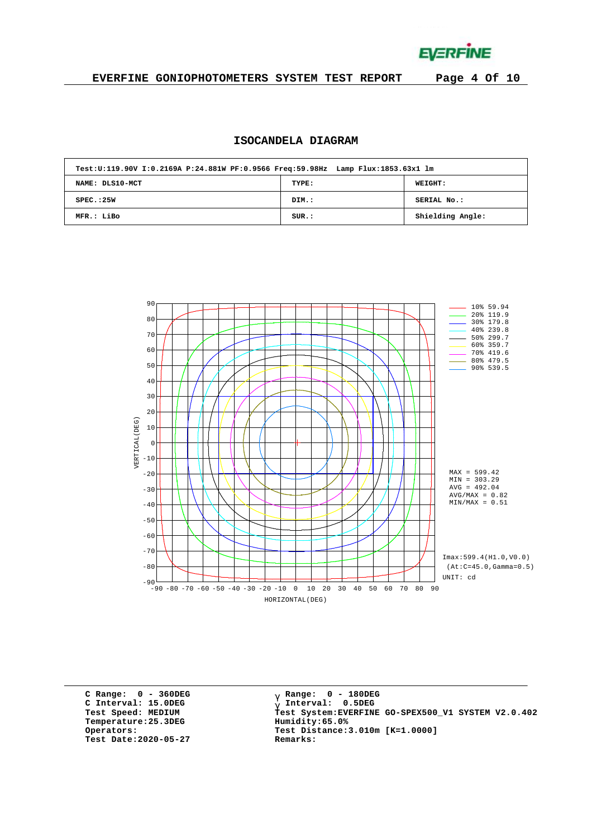**EVERFINE** 

### **EVERFINE GONIOPHOTOMETERS SYSTEM TEST REPORT Page 4 Of 10**

# **ISOCANDELA DIAGRAM**

|                 | Test:U:119.90V I:0.2169A P:24.881W PF:0.9566 Freq:59.98Hz Lamp Flux:1853.63x1 lm |                  |  |  |  |  |  |  |  |  |  |
|-----------------|----------------------------------------------------------------------------------|------------------|--|--|--|--|--|--|--|--|--|
| NAME: DLS10-MCT | TYPE:                                                                            | WEIGHT:          |  |  |  |  |  |  |  |  |  |
| SPEC. : 25W     | DIM.:                                                                            | SERIAL No.:      |  |  |  |  |  |  |  |  |  |
| MFR.: LiBo      | SUR.:                                                                            | Shielding Angle: |  |  |  |  |  |  |  |  |  |



**C Range: 0 - 360DEG C Interval: 15.0DEG Temperature:25.3DEG Humidity:65.0% Test Date:2020-05-27 Remarks:**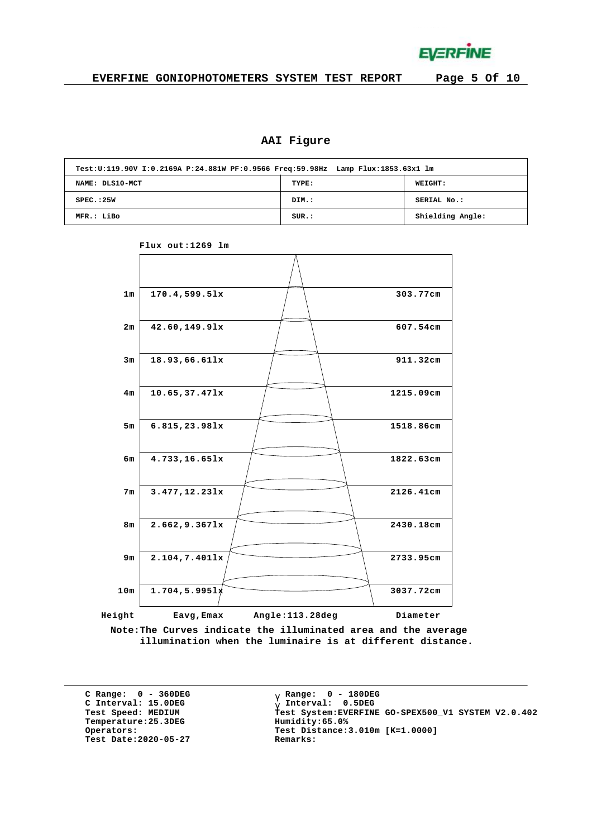

# **AAI Figure**

| Test:U:119.90V I:0.2169A P:24.881W PF:0.9566 Freq:59.98Hz Lamp Flux:1853.63x1 lm |       |                  |  |  |  |  |  |  |  |  |
|----------------------------------------------------------------------------------|-------|------------------|--|--|--|--|--|--|--|--|
| NAME: DLS10-MCT                                                                  | TYPE: | <b>WEIGHT:</b>   |  |  |  |  |  |  |  |  |
| SPEC.:25W                                                                        | DIM.: | SERIAL No.:      |  |  |  |  |  |  |  |  |
| MFR.: LiBo                                                                       | SUR.: | Shielding Angle: |  |  |  |  |  |  |  |  |



**Flux out:1269 lm**

**Note:The Curves indicate the illuminated area and the average illumination when the luminaire is at different distance.**

**C Range: 0 - 360DEG C Interval: 15.0DEG**  $Temperature:25.3DEG$ **Test Date:2020-05-27 Remarks:**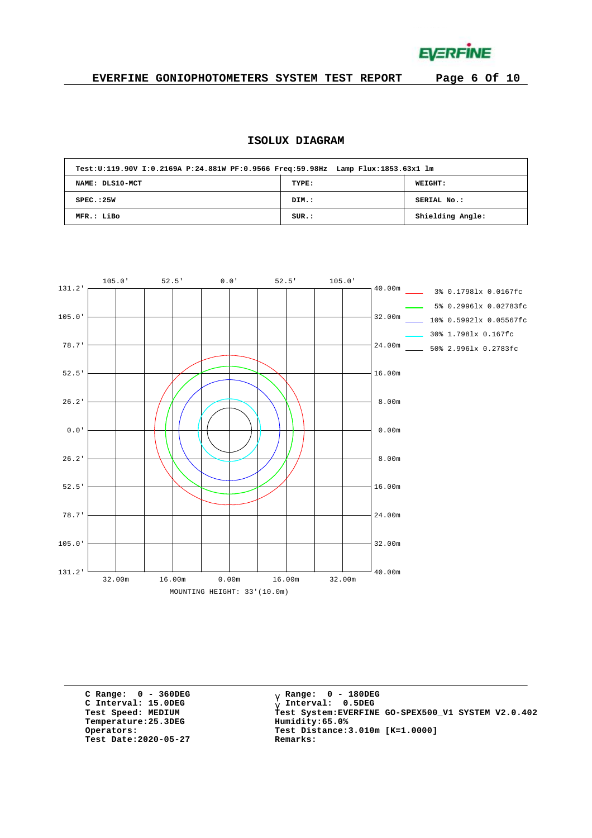**EVERFINE** 

# **EVERFINE GONIOPHOTOMETERS SYSTEM TEST REPORT Page 6 Of 10**

# **ISOLUX DIAGRAM**

| Test:U:119.90V I:0.2169A P:24.881W PF:0.9566 Freq:59.98Hz Lamp Flux:1853.63x1 lm |       |                  |
|----------------------------------------------------------------------------------|-------|------------------|
| NAME: DLS10-MCT                                                                  | TYPE: | WEIGHT:          |
| SPEC. : 25W                                                                      | DIM.: | SERIAL No.:      |
| MFR.: LiBo                                                                       | SUR.: | Shielding Angle: |



**C Range: 0 - 360DEG C Interval: 15.0DEG**  $Temperature:25.3DEG$ **Test Date:2020-05-27 Remarks:**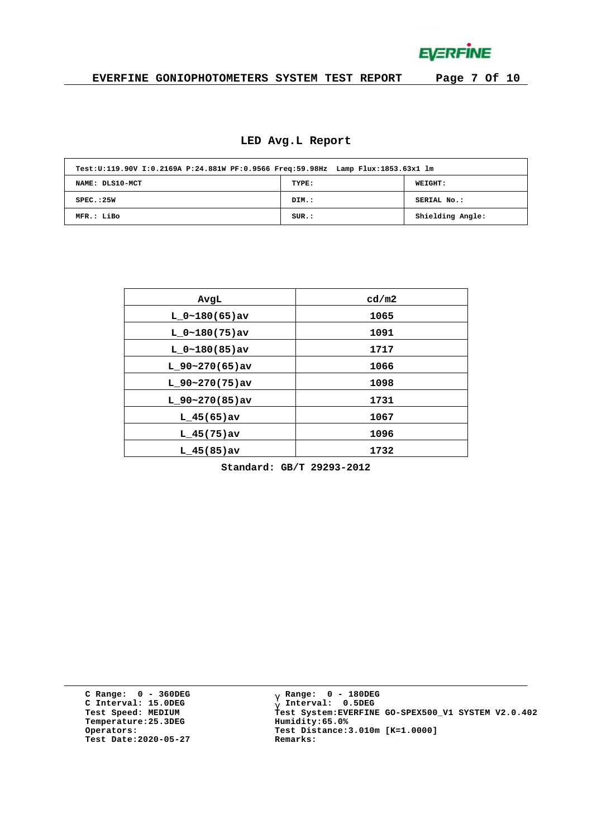**EVERFINE** 

# **EVERFINE GONIOPHOTOMETERS SYSTEM TEST REPORT Page 7 Of 10**

#### **LED Avg.L Report**

| Test:U:119.90V I:0.2169A P:24.881W PF:0.9566 Freq:59.98Hz Lamp Flux:1853.63x1 lm |       |                  |
|----------------------------------------------------------------------------------|-------|------------------|
| NAME: DLS10-MCT                                                                  | TYPE: | <b>WEIGHT:</b>   |
| SPEC. : 25W                                                                      | DIM.: | SERIAL No.:      |
| MFR.: LiBo                                                                       | SUR.: | Shielding Angle: |

| AvgL             | cd/m2 |
|------------------|-------|
| $L 0~180(65)$ av | 1065  |
| $L 0~180(75)$ av | 1091  |
| $L 0~180(85)$ av | 1717  |
| $L$ 90~270(65)av | 1066  |
| $L$ 90~270(75)av | 1098  |
| $L$ 90~270(85)av | 1731  |
| $L$ 45(65) av    | 1067  |
| $L$ 45(75)av     | 1096  |
| $L$ 45(85)av     | 1732  |

**Standard: GB/T 29293-2012**

**C Range: 0 - 360DEG C Interval: 15.0DEG Temperature:25.3DEG Humidity:65.0% Test Date:2020-05-27 Remarks:**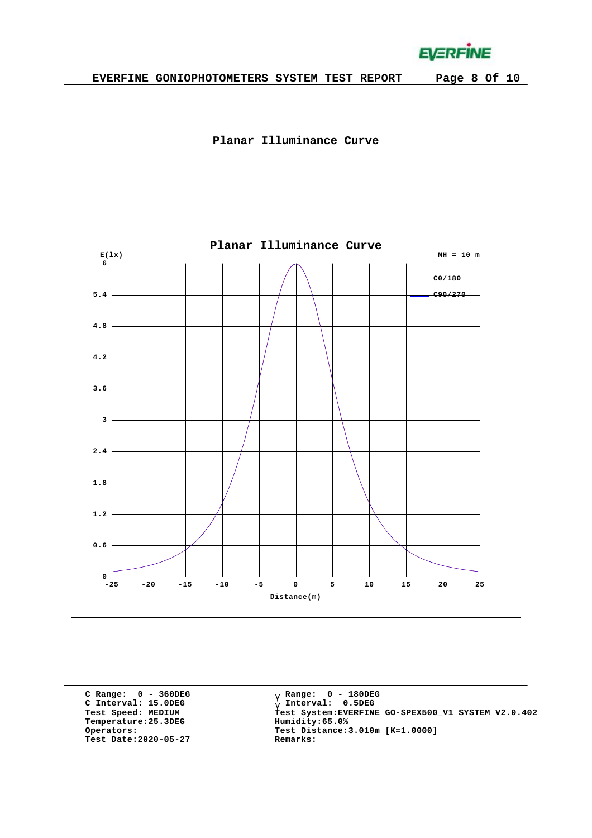**EVERFINE** 





**C Range: 0 - 360DEG C Interval: 15.0DEG Temperature:25.3DEG Humidity:65.0% Test Date:2020-05-27 Remarks:**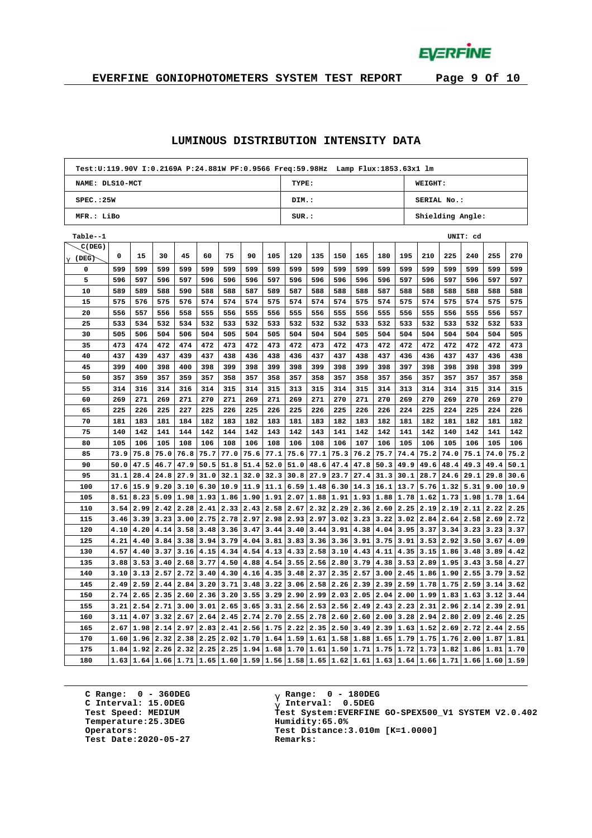**EVERFINE** 

# **EVERFINE GONIOPHOTOMETERS SYSTEM TEST REPORT Page 9 Of 10**

#### **LUMINOUS DISTRIBUTION INTENSITY DATA**

|                   | Test:U:119.90V I:0.2169A P:24.881W PF:0.9566 Freq:59.98Hz Lamp Flux:1853.63x1 lm |      |      |                      |      |           |      |      |                           |                                           |      |      |           |      |      |      |          |      |      |
|-------------------|----------------------------------------------------------------------------------|------|------|----------------------|------|-----------|------|------|---------------------------|-------------------------------------------|------|------|-----------|------|------|------|----------|------|------|
| NAME: DLS10-MCT   |                                                                                  |      |      |                      |      |           |      |      | TYPE:<br>WEIGHT:          |                                           |      |      |           |      |      |      |          |      |      |
| SPEC.:25W         |                                                                                  |      |      |                      |      |           |      |      | SERIAL No.:<br>DIM.:      |                                           |      |      |           |      |      |      |          |      |      |
| MFR.: LiBo        |                                                                                  |      |      |                      |      |           |      |      | SUR.:<br>Shielding Angle: |                                           |      |      |           |      |      |      |          |      |      |
| Table--1          |                                                                                  |      |      |                      |      |           |      |      |                           |                                           |      |      |           |      |      |      | UNIT: cd |      |      |
| C(DEG)            |                                                                                  |      |      |                      |      |           |      |      |                           |                                           |      |      |           |      |      |      |          |      |      |
| $g(\texttt{DEG})$ | 0                                                                                | 15   | 30   | 45                   | 60   | 75        | 90   | 105  | 120                       | 135                                       | 150  | 165  | 180       | 195  | 210  | 225  | 240      | 255  | 270  |
| 0                 | 599                                                                              | 599  | 599  | 599                  | 599  | 599       | 599  | 599  | 599                       | 599                                       | 599  | 599  | 599       | 599  | 599  | 599  | 599      | 599  | 599  |
| 5                 | 596                                                                              | 597  | 596  | 597                  | 596  | 596       | 596  | 597  | 596                       | 596                                       | 596  | 596  | 596       | 597  | 596  | 597  | 596      | 597  | 597  |
| 10                | 589                                                                              | 589  | 588  | 590                  | 588  | 588       | 587  | 589  | 587                       | 588                                       | 588  | 588  | 587       | 588  | 588  | 588  | 588      | 588  | 588  |
| 15                | 575                                                                              | 576  | 575  | 576                  | 574  | 574       | 574  | 575  | 574                       | 574                                       | 574  | 575  | 574       | 575  | 574  | 575  | 574      | 575  | 575  |
| 20                | 556                                                                              | 557  | 556  | 558                  | 555  | 556       | 555  | 556  | 555                       | 556                                       | 555  | 556  | 555       | 556  | 555  | 556  | 555      | 556  | 557  |
| 25                | 533                                                                              | 534  | 532  | 534                  | 532  | 533       | 532  | 533  | 532                       | 532                                       | 532  | 533  | 532       | 533  | 532  | 533  | 532      | 532  | 533  |
| 30                | 505                                                                              | 506  | 504  | 506                  | 504  | 505       | 504  | 505  | 504                       | 504                                       | 504  | 505  | 504       | 504  | 504  | 504  | 504      | 504  | 505  |
| 35                | 473                                                                              | 474  | 472  | 474                  | 472  | 473       | 472  | 473  | 472                       | 473                                       | 472  | 473  | 472       | 472  | 472  | 472  | 472      | 472  | 473  |
| 40                | 437                                                                              | 439  | 437  | 439                  | 437  | 438       | 436  | 438  | 436                       | 437                                       | 437  | 438  | 437       | 436  | 436  | 437  | 437      | 436  | 438  |
| 45                | 399                                                                              | 400  | 398  | 400                  | 398  | 399       | 398  | 399  | 398                       | 399                                       | 398  | 399  | 398       | 397  | 398  | 398  | 398      | 398  | 399  |
| 50                | 357                                                                              | 359  | 357  | 359                  | 357  | 358       | 357  | 358  | 357                       | 358                                       | 357  | 358  | 357       | 356  | 357  | 357  | 357      | 357  | 358  |
| 55                | 314                                                                              | 316  | 314  | 316                  | 314  | 315       | 314  | 315  | 313                       | 315                                       | 314  | 315  | 314       | 313  | 314  | 314  | 315      | 314  | 315  |
| 60                | 269                                                                              | 271  | 269  | 271                  | 270  | 271       | 269  | 271  | 269                       | 271                                       | 270  | 271  | 270       | 269  | 270  | 269  | 270      | 269  | 270  |
| 65                | 225                                                                              | 226  | 225  | 227                  | 225  | 226       | 225  | 226  | 225                       | 226                                       | 225  | 226  | 226       | 224  | 225  | 224  | 225      | 224  | 226  |
| 70                | 181                                                                              | 183  | 181  | 184                  | 182  | 183       | 182  | 183  | 181                       | 183                                       | 182  | 183  | 182       | 181  | 182  | 181  | 182      | 181  | 182  |
| 75                | 140                                                                              | 142  | 141  | 144                  | 142  | 144       | 142  | 143  | 142                       | 143                                       | 141  | 142  | 142       | 141  | 142  | 140  | 142      | 141  | 142  |
| 80                | 105                                                                              | 106  | 105  | 108                  | 106  | 108       | 106  | 108  | 106                       | 108                                       | 106  | 107  | 106       | 105  | 106  | 105  | 106      | 105  | 106  |
| 85                | 73.9                                                                             | 75.8 | 75.0 | 76.8                 | 75.7 | 77.0      | 75.6 | 77.1 | 75.6                      | 77.1                                      | 75.3 | 76.2 | 75.7      | 74.4 | 75.2 | 74.0 | 75.1     | 74.0 | 75.2 |
| 90                | 50.0                                                                             | 47.5 | 46.7 | 47.9                 | 50.5 | 51.8      | 51.4 | 52.0 | 51.0                      | 48.6                                      | 47.4 | 47.8 | 50.3      | 49.9 | 49.6 | 48.4 | 49.3     | 49.4 | 50.1 |
| 95                | 31.1                                                                             | 28.4 | 24.8 | 27.9                 | 31.0 | 32.1      | 32.0 | 32.3 | 30.8                      | 27.9                                      | 23.7 | 27.4 | 31.3      | 30.1 | 28.7 | 24.6 | 29.1     | 29.8 | 30.6 |
| 100               | 17.6                                                                             | 15.9 | 9.20 | 3.10                 | 6.30 | 10.9      | 11.9 | 11.1 | 6.59                      | 1.48                                      | 6.30 | 14.3 | 16.1      | 13.7 | 5.76 | 1.32 | 5.31     | 9.00 | 10.9 |
| 105               | 8.51                                                                             | 8.23 |      | $5.09$   1.98   1.93 |      | 1.86 1.90 |      | 1.91 | 2.07                      | 1.88                                      | 1.91 | 1.93 | 1.88 1.78 |      | 1.62 | 1.73 | 1.98     | 1.78 | 1.64 |
| 110               | 3.54                                                                             | 2.99 | 2.42 | 2.28                 | 2.41 | 2.33      | 2.43 | 2.58 | 2.67                      | 2.32                                      | 2.29 | 2.36 | 2.60      | 2.25 | 2.19 | 2.19 | 2.11     | 2.22 | 2.25 |
| 115               | 3.46                                                                             | 3.39 | 3.23 | 3.00                 | 2.75 | 2.78      | 2.97 | 2.98 | 2.93                      | 2.97                                      | 3.02 | 3.23 | 3.22      | 3.02 | 2.84 | 2.64 | 2.58     | 2.69 | 2.72 |
| 120               | 4.10                                                                             | 4.20 | 4.14 | 3.58                 | 3.48 | 3.36      | 3.47 | 3.44 | 3.40                      | 3.44                                      | 3.91 | 4.38 | 4.04      | 3.95 | 3.37 | 3.34 | 3.23     | 3.23 | 3.37 |
| 125               | 4.21                                                                             | 4.40 | 3.84 | 3.38                 | 3.94 | 3.79      | 4.04 | 3.81 | 3.83                      | 3.36                                      | 3.36 | 3.91 | 3.75      | 3.91 | 3.53 | 2.92 | 3.50     | 3.67 | 4.09 |
| 130               | 4.57                                                                             | 4.40 | 3.37 | 3.16                 | 4.15 | 4.34      | 4.54 | 4.13 | 4.33                      | 2.58                                      | 3.10 | 4.43 | 4.11      | 4.35 | 3.15 | 1.86 | 3.48     | 3.89 | 4.42 |
| 135               | 3.88                                                                             | 3.53 | 3.40 | 2.68                 | 3.77 | 4.50      | 4.88 | 4.54 | 3.55                      | 2.56                                      | 2.80 | 3.79 | 4.38      | 3.53 | 2.89 | 1.95 | 3.43     | 3.58 | 4.27 |
| 140               | 3.10                                                                             | 3.13 | 2.57 | 2.72                 | 3.40 | 4.30      | 4.16 | 4.35 | 3.48                      | 2.37                                      | 2.35 | 2.57 | 3.00      | 2.45 | 1.86 | 1.90 | 2.55     | 3.79 | 3.52 |
| 145               | 2.49                                                                             | 2.59 | 2.44 | 2.84                 | 3.20 | 3.71      | 3.48 | 3.22 | 3.06                      | 2.58                                      | 2.26 | 2.39 | 2.39      | 2.59 | 1.78 | 1.75 | 2.59     | 3.14 | 3.62 |
| 150               | 2.74                                                                             | 2.65 | 2.35 | 2.60                 | 2.36 | 3.20      | 3.55 | 3.29 | 2.90                      | 2.99                                      | 2.03 | 2.05 | 2.04      | 2.00 | 1.99 | 1.83 | 1.63     | 3.12 | 3.44 |
| 155               | 3.21                                                                             | 2.54 | 2.71 | 3.00                 | 3.01 | 2.65      | 3.65 | 3.31 | 2.56                      | 2.53                                      | 2.56 | 2.49 | 2.43      | 2.23 | 2.31 | 2.96 | 2.14     | 2.39 | 2.91 |
| 160               | 3.11                                                                             | 4.07 | 3.32 | 2.67                 | 2.64 | 2.45      | 2.74 | 2.70 | 2.55                      | 2.78                                      | 2.60 | 2.60 | 2.00      | 3.28 | 2.94 | 2.80 | 2.09     | 2.46 | 2.25 |
| 165               | 2.67                                                                             | 1.98 | 2.14 | 2.97                 | 2.83 | 2.41      | 2.56 | 1.75 | 2.22                      | 2.35                                      | 2.50 | 3.49 | 2.39      | 1.63 | 1.52 | 2.69 | 2.72     | 2.44 | 2.55 |
| 170               | 1.60                                                                             | 1.96 | 2.32 | 2.38                 | 2.25 | 2.02      | 1.70 | 1.64 | 1.59                      | 1.61                                      | 1.58 | 1.88 | 1.65      | 1.79 | 1.75 | 1.76 | 2.00     | 1.87 | 1.81 |
| 175               | 1.84                                                                             | 1.92 | 2.26 | 2.32                 | 2.25 | 2.25      | 1.94 | 1.68 | 1.70                      | 1.61                                      | 1.50 | 1.71 | 1.75      | 1.72 | 1.73 | 1.82 | 1.86     | 1.81 | 1.70 |
| 180               | 1.63                                                                             | 1.64 |      |                      |      |           |      |      |                           | $1.66 1.71 1.65 1.60 1.59 1.56 1.58 1.65$ | 1.62 | 1.61 | 1.63 1.64 |      | 1.66 | 1.71 | 1.66     | 1.60 | 1.59 |

**C Range: 0 - 360DEG C Interval: 15.0DEG Temperature:25.3DEG Humidity:65.0% Test Date:2020-05-27 Remarks:**